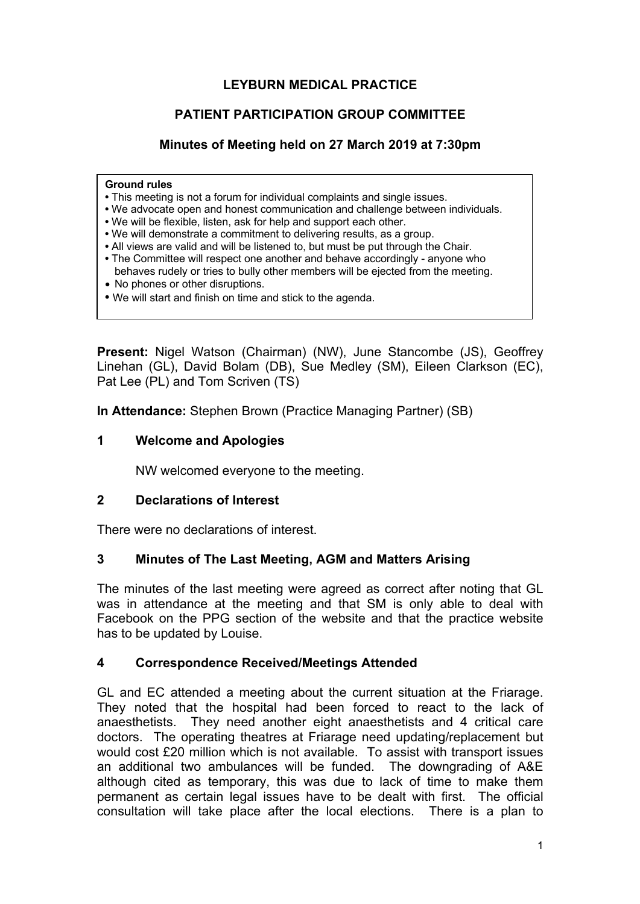# **LEYBURN MEDICAL PRACTICE**

# **PATIENT PARTICIPATION GROUP COMMITTEE**

# **Minutes of Meeting held on 27 March 2019 at 7:30pm**

#### **Ground rules**

- This meeting is not a forum for individual complaints and single issues.
- We advocate open and honest communication and challenge between individuals.
- We will be flexible, listen, ask for help and support each other.
- We will demonstrate a commitment to delivering results, as a group.
- All views are valid and will be listened to, but must be put through the Chair.
- The Committee will respect one another and behave accordingly anyone who behaves rudely or tries to bully other members will be ejected from the meeting.
- No phones or other disruptions.
- We will start and finish on time and stick to the agenda.

**Present:** Nigel Watson (Chairman) (NW), June Stancombe (JS), Geoffrey Linehan (GL), David Bolam (DB), Sue Medley (SM), Eileen Clarkson (EC), Pat Lee (PL) and Tom Scriven (TS)

**In Attendance:** Stephen Brown (Practice Managing Partner) (SB)

#### **1 Welcome and Apologies**

NW welcomed everyone to the meeting.

#### **2 Declarations of Interest**

There were no declarations of interest.

#### **3 Minutes of The Last Meeting, AGM and Matters Arising**

The minutes of the last meeting were agreed as correct after noting that GL was in attendance at the meeting and that SM is only able to deal with Facebook on the PPG section of the website and that the practice website has to be updated by Louise.

#### **4 Correspondence Received/Meetings Attended**

GL and EC attended a meeting about the current situation at the Friarage. They noted that the hospital had been forced to react to the lack of anaesthetists. They need another eight anaesthetists and 4 critical care doctors. The operating theatres at Friarage need updating/replacement but would cost £20 million which is not available. To assist with transport issues an additional two ambulances will be funded. The downgrading of A&E although cited as temporary, this was due to lack of time to make them permanent as certain legal issues have to be dealt with first. The official consultation will take place after the local elections. There is a plan to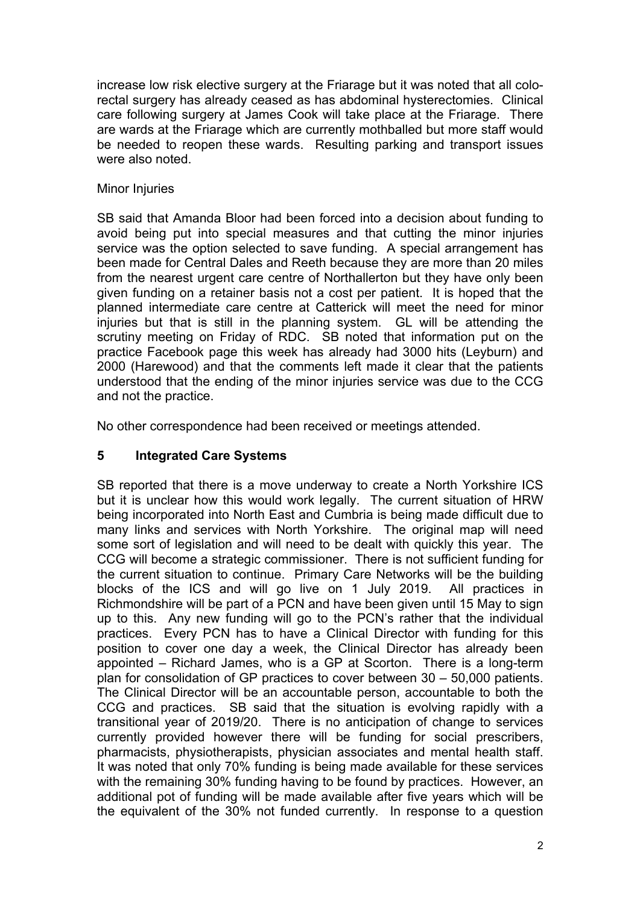increase low risk elective surgery at the Friarage but it was noted that all colorectal surgery has already ceased as has abdominal hysterectomies. Clinical care following surgery at James Cook will take place at the Friarage. There are wards at the Friarage which are currently mothballed but more staff would be needed to reopen these wards. Resulting parking and transport issues were also noted.

#### Minor Injuries

SB said that Amanda Bloor had been forced into a decision about funding to avoid being put into special measures and that cutting the minor injuries service was the option selected to save funding. A special arrangement has been made for Central Dales and Reeth because they are more than 20 miles from the nearest urgent care centre of Northallerton but they have only been given funding on a retainer basis not a cost per patient. It is hoped that the planned intermediate care centre at Catterick will meet the need for minor injuries but that is still in the planning system. GL will be attending the scrutiny meeting on Friday of RDC. SB noted that information put on the practice Facebook page this week has already had 3000 hits (Leyburn) and 2000 (Harewood) and that the comments left made it clear that the patients understood that the ending of the minor injuries service was due to the CCG and not the practice.

No other correspondence had been received or meetings attended.

# **5 Integrated Care Systems**

SB reported that there is a move underway to create a North Yorkshire ICS but it is unclear how this would work legally. The current situation of HRW being incorporated into North East and Cumbria is being made difficult due to many links and services with North Yorkshire. The original map will need some sort of legislation and will need to be dealt with quickly this year. The CCG will become a strategic commissioner. There is not sufficient funding for the current situation to continue. Primary Care Networks will be the building blocks of the ICS and will go live on 1 July 2019. All practices in Richmondshire will be part of a PCN and have been given until 15 May to sign up to this. Any new funding will go to the PCN's rather that the individual practices. Every PCN has to have a Clinical Director with funding for this position to cover one day a week, the Clinical Director has already been appointed – Richard James, who is a GP at Scorton. There is a long-term plan for consolidation of GP practices to cover between 30 – 50,000 patients. The Clinical Director will be an accountable person, accountable to both the CCG and practices. SB said that the situation is evolving rapidly with a transitional year of 2019/20. There is no anticipation of change to services currently provided however there will be funding for social prescribers, pharmacists, physiotherapists, physician associates and mental health staff. It was noted that only 70% funding is being made available for these services with the remaining 30% funding having to be found by practices. However, an additional pot of funding will be made available after five years which will be the equivalent of the 30% not funded currently. In response to a question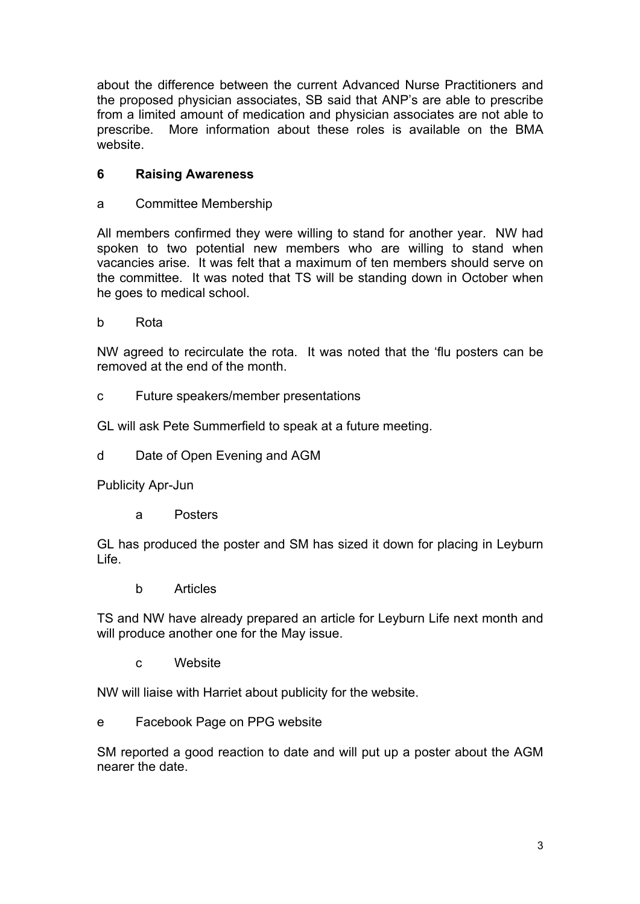about the difference between the current Advanced Nurse Practitioners and the proposed physician associates, SB said that ANP's are able to prescribe from a limited amount of medication and physician associates are not able to prescribe. More information about these roles is available on the BMA website.

# **6 Raising Awareness**

### a Committee Membership

All members confirmed they were willing to stand for another year. NW had spoken to two potential new members who are willing to stand when vacancies arise. It was felt that a maximum of ten members should serve on the committee. It was noted that TS will be standing down in October when he goes to medical school.

### b Rota

NW agreed to recirculate the rota. It was noted that the 'flu posters can be removed at the end of the month.

- c Future speakers/member presentations
- GL will ask Pete Summerfield to speak at a future meeting.
- d Date of Open Evening and AGM

Publicity Apr-Jun

a Posters

GL has produced the poster and SM has sized it down for placing in Leyburn Life.

b Articles

TS and NW have already prepared an article for Leyburn Life next month and will produce another one for the May issue.

c Website

NW will liaise with Harriet about publicity for the website.

e Facebook Page on PPG website

SM reported a good reaction to date and will put up a poster about the AGM nearer the date.